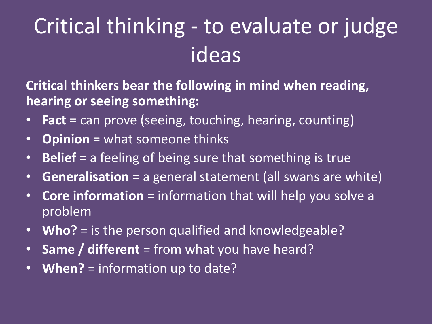# Critical thinking - to evaluate or judge ideas

**Critical thinkers bear the following in mind when reading, hearing or seeing something:**

- **Fact** = can prove (seeing, touching, hearing, counting)
- **Opinion** =what someone thinks
- **Belief** = a feeling of being sure that something is true
- **Generalisation** = a general statement (all swans are white)
- **Core information** =information that will help you solve a problem
- **Who?** = is the person qualified and knowledgeable?
- **Same / different** = from what you have heard?
- **When?** = information up to date?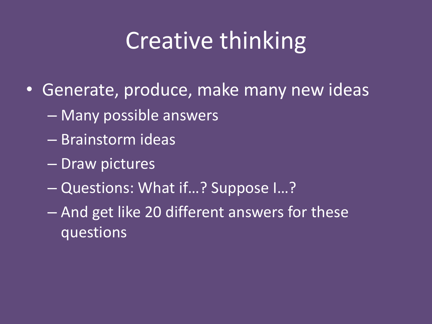# Creative thinking

- Generate, produce, make many new ideas
	- Many possible answers
	- Brainstorm ideas
	- Draw pictures
	- Questions: What if…? Suppose I…?
	- And get like 20 different answers for these questions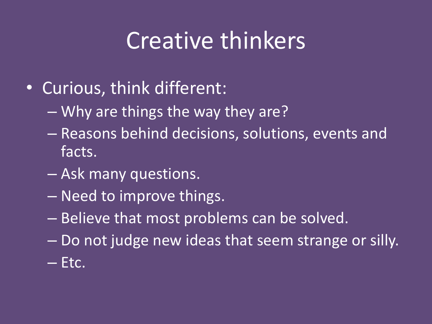## Creative thinkers

- Curious, think different:
	- Why are things the way they are?
	- Reasons behind decisions, solutions, events and facts.
	- Ask many questions.
	- Need to improve things.
	- Believe that most problems can be solved.
	- Do not judge new ideas that seem strange or silly. – Etc.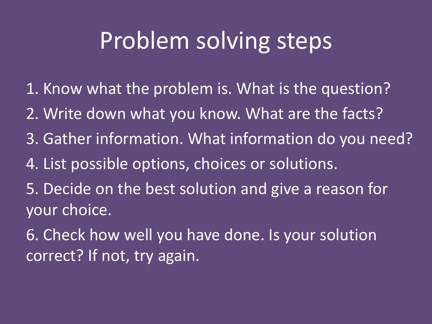## Problem solving steps

- 1. Know what the problem is. What is the question?
- 2. Write down what you know. What are the facts?
- 3. Gather information. What information do you need?
- 4. List possible options, choices or solutions.
- 5. Decide on the best solution and give a reason for your choice.
- 6. Check how well you have done. Is your solution correct? If not, try again.